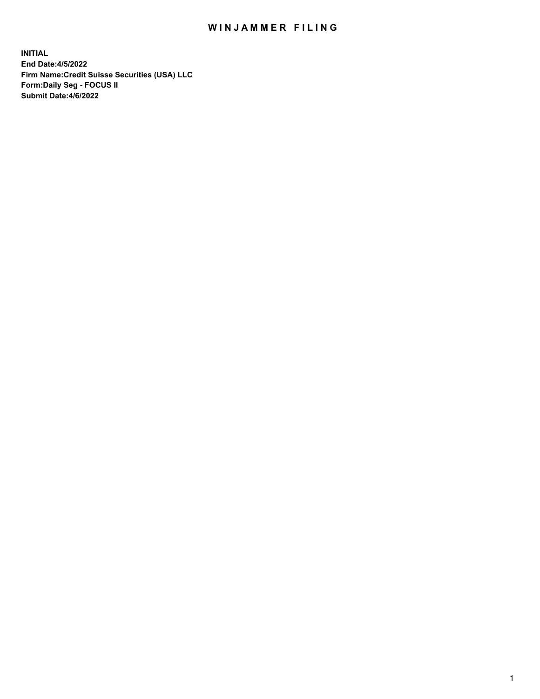# WIN JAMMER FILING

**INITIAL End Date:4/5/2022 Firm Name:Credit Suisse Securities (USA) LLC Form:Daily Seg - FOCUS II Submit Date:4/6/2022**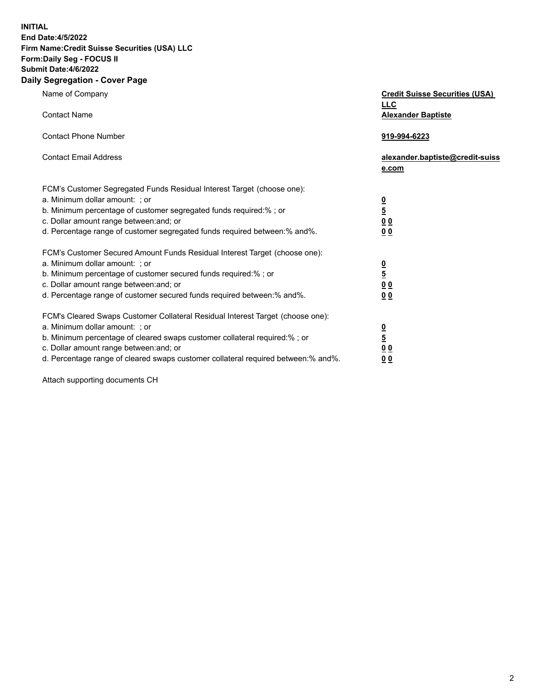**INITIAL**

#### **End Date:4/5/2022 Firm Name:Credit Suisse Securities (USA) LLC Form:Daily Seg - FOCUS II Submit Date:4/6/2022**

### **Daily Segregation - Cover Page**

| Name of Company<br><b>Contact Name</b>                                                                                                                                                                                                                                                                                         | <b>Credit Suisse Securities (USA)</b><br><b>LLC</b><br><b>Alexander Baptiste</b> |
|--------------------------------------------------------------------------------------------------------------------------------------------------------------------------------------------------------------------------------------------------------------------------------------------------------------------------------|----------------------------------------------------------------------------------|
| <b>Contact Phone Number</b>                                                                                                                                                                                                                                                                                                    | 919-994-6223                                                                     |
| <b>Contact Email Address</b>                                                                                                                                                                                                                                                                                                   | alexander.baptiste@credit-suiss<br>e.com                                         |
| FCM's Customer Segregated Funds Residual Interest Target (choose one):<br>a. Minimum dollar amount: ; or<br>b. Minimum percentage of customer segregated funds required:% ; or<br>c. Dollar amount range between: and; or<br>d. Percentage range of customer segregated funds required between:% and%.                         | $\frac{0}{5}$<br>0 <sub>0</sub><br>0 <sub>0</sub>                                |
| FCM's Customer Secured Amount Funds Residual Interest Target (choose one):<br>a. Minimum dollar amount: ; or<br>b. Minimum percentage of customer secured funds required:%; or<br>c. Dollar amount range between: and; or<br>d. Percentage range of customer secured funds required between:% and%.                            | $\frac{0}{5}$<br>$\underline{0} \underline{0}$<br>0 <sub>0</sub>                 |
| FCM's Cleared Swaps Customer Collateral Residual Interest Target (choose one):<br>a. Minimum dollar amount: ; or<br>b. Minimum percentage of cleared swaps customer collateral required:% ; or<br>c. Dollar amount range between: and; or<br>d. Percentage range of cleared swaps customer collateral required between:% and%. | $\frac{0}{5}$<br>0 <sub>0</sub><br>00                                            |

Attach supporting documents CH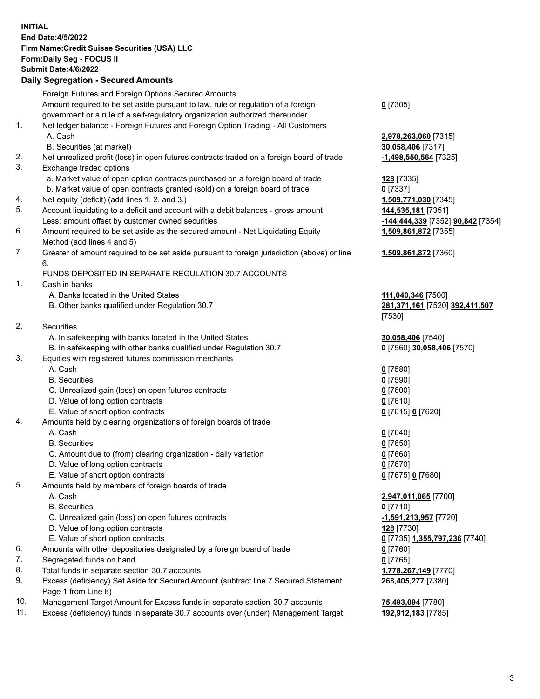## **INITIAL End Date:4/5/2022 Firm Name:Credit Suisse Securities (USA) LLC Form:Daily Seg - FOCUS II Submit Date:4/6/2022**

## **Daily Segregation - Secured Amounts**

|     | Foreign Futures and Foreign Options Secured Amounts                                                        |                                   |
|-----|------------------------------------------------------------------------------------------------------------|-----------------------------------|
|     | Amount required to be set aside pursuant to law, rule or regulation of a foreign                           | $0$ [7305]                        |
|     | government or a rule of a self-regulatory organization authorized thereunder                               |                                   |
| 1.  | Net ledger balance - Foreign Futures and Foreign Option Trading - All Customers                            |                                   |
|     | A. Cash                                                                                                    | 2,978,263,060 [7315]              |
|     | B. Securities (at market)                                                                                  | 30,058,406 [7317]                 |
| 2.  | Net unrealized profit (loss) in open futures contracts traded on a foreign board of trade                  | -1,498,550,564 [7325]             |
| 3.  | Exchange traded options                                                                                    |                                   |
|     | a. Market value of open option contracts purchased on a foreign board of trade                             | 128 [7335]                        |
|     | b. Market value of open contracts granted (sold) on a foreign board of trade                               | $0$ [7337]                        |
| 4.  | Net equity (deficit) (add lines 1. 2. and 3.)                                                              | 1,509,771,030 [7345]              |
| 5.  | Account liquidating to a deficit and account with a debit balances - gross amount                          | 144,535,181 [7351]                |
|     | Less: amount offset by customer owned securities                                                           | -144,444,339 [7352] 90,842 [7354] |
| 6.  | Amount required to be set aside as the secured amount - Net Liquidating Equity                             | 1,509,861,872 [7355]              |
|     | Method (add lines 4 and 5)                                                                                 |                                   |
| 7.  | Greater of amount required to be set aside pursuant to foreign jurisdiction (above) or line                | 1,509,861,872 [7360]              |
|     | 6.                                                                                                         |                                   |
|     | FUNDS DEPOSITED IN SEPARATE REGULATION 30.7 ACCOUNTS                                                       |                                   |
| 1.  | Cash in banks                                                                                              |                                   |
|     | A. Banks located in the United States                                                                      | 111,040,346 [7500]                |
|     | B. Other banks qualified under Regulation 30.7                                                             | 281,371,161 [7520] 392,411,507    |
|     |                                                                                                            | [7530]                            |
| 2.  | Securities                                                                                                 |                                   |
|     | A. In safekeeping with banks located in the United States                                                  | 30,058,406 [7540]                 |
|     | B. In safekeeping with other banks qualified under Regulation 30.7                                         | 0 [7560] 30,058,406 [7570]        |
| 3.  | Equities with registered futures commission merchants                                                      |                                   |
|     | A. Cash                                                                                                    | $0$ [7580]                        |
|     | <b>B.</b> Securities                                                                                       | $0$ [7590]                        |
|     | C. Unrealized gain (loss) on open futures contracts                                                        | $0$ [7600]                        |
|     | D. Value of long option contracts                                                                          | $0$ [7610]                        |
|     | E. Value of short option contracts                                                                         | 0 [7615] 0 [7620]                 |
| 4.  | Amounts held by clearing organizations of foreign boards of trade                                          |                                   |
|     | A. Cash                                                                                                    | $0$ [7640]                        |
|     | <b>B.</b> Securities                                                                                       | $0$ [7650]                        |
|     | C. Amount due to (from) clearing organization - daily variation                                            | $0$ [7660]                        |
|     | D. Value of long option contracts                                                                          | $0$ [7670]                        |
|     | E. Value of short option contracts                                                                         | 0 [7675] 0 [7680]                 |
| 5.  | Amounts held by members of foreign boards of trade                                                         |                                   |
|     | A. Cash                                                                                                    | 2,947,011,065 [7700]              |
|     | <b>B.</b> Securities                                                                                       | $0$ [7710]                        |
|     | C. Unrealized gain (loss) on open futures contracts                                                        | -1,591,213,957 [7720]             |
|     | D. Value of long option contracts                                                                          | 128 [7730]                        |
|     | E. Value of short option contracts                                                                         | 0 [7735] 1,355,797,236 [7740]     |
| 6.  | Amounts with other depositories designated by a foreign board of trade                                     | $0$ [7760]                        |
| 7.  | Segregated funds on hand                                                                                   | $0$ [7765]                        |
| 8.  | Total funds in separate section 30.7 accounts                                                              | 1,778,267,149 [7770]              |
| 9.  | Excess (deficiency) Set Aside for Secured Amount (subtract line 7 Secured Statement<br>Page 1 from Line 8) | 268,405,277 [7380]                |
| 10. | Management Target Amount for Excess funds in separate section 30.7 accounts                                | 75,493,094 [7780]                 |

11. Excess (deficiency) funds in separate 30.7 accounts over (under) Management Target **192,912,183** [7785]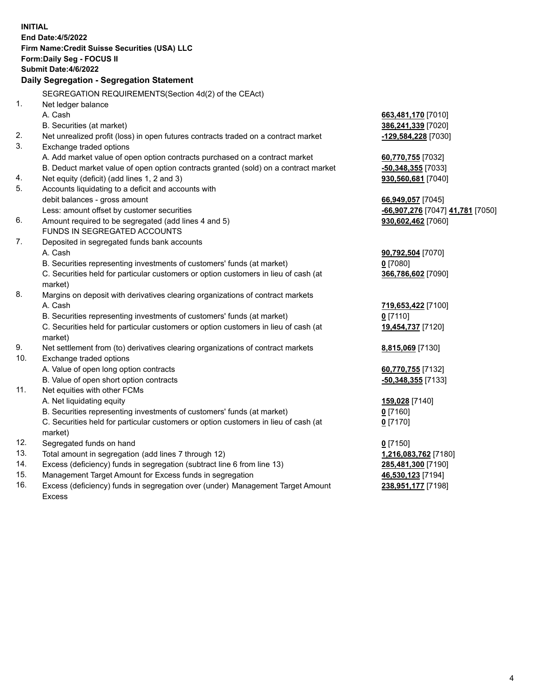|                | <b>INITIAL</b><br>End Date: 4/5/2022<br>Firm Name: Credit Suisse Securities (USA) LLC<br>Form: Daily Seg - FOCUS II<br>Submit Date: 4/6/2022<br><b>Daily Segregation - Segregation Statement</b> |                                  |
|----------------|--------------------------------------------------------------------------------------------------------------------------------------------------------------------------------------------------|----------------------------------|
|                | SEGREGATION REQUIREMENTS(Section 4d(2) of the CEAct)                                                                                                                                             |                                  |
| 1 <sub>1</sub> | Net ledger balance                                                                                                                                                                               |                                  |
|                | A. Cash                                                                                                                                                                                          | 663,481,170 [7010]               |
|                | B. Securities (at market)                                                                                                                                                                        | 386,241,339 [7020]               |
| 2.             | Net unrealized profit (loss) in open futures contracts traded on a contract market                                                                                                               | -129,584,228 [7030]              |
| 3.             | Exchange traded options                                                                                                                                                                          |                                  |
|                | A. Add market value of open option contracts purchased on a contract market                                                                                                                      | 60,770,755 [7032]                |
|                | B. Deduct market value of open option contracts granted (sold) on a contract market                                                                                                              | -50,348,355 [7033]               |
| 4.             | Net equity (deficit) (add lines 1, 2 and 3)                                                                                                                                                      | 930,560,681 [7040]               |
| 5.             | Accounts liquidating to a deficit and accounts with                                                                                                                                              |                                  |
|                | debit balances - gross amount                                                                                                                                                                    | 66,949,057 [7045]                |
|                | Less: amount offset by customer securities                                                                                                                                                       | -66,907,276 [7047] 41,781 [7050] |
| 6.             | Amount required to be segregated (add lines 4 and 5)                                                                                                                                             | 930,602,462 [7060]               |
|                | FUNDS IN SEGREGATED ACCOUNTS                                                                                                                                                                     |                                  |
| 7.             | Deposited in segregated funds bank accounts                                                                                                                                                      |                                  |
|                | A. Cash                                                                                                                                                                                          | 90,792,504 [7070]                |
|                | B. Securities representing investments of customers' funds (at market)                                                                                                                           | $0$ [7080]                       |
|                | C. Securities held for particular customers or option customers in lieu of cash (at                                                                                                              | 366,786,602 [7090]               |
|                | market)                                                                                                                                                                                          |                                  |
| 8.             | Margins on deposit with derivatives clearing organizations of contract markets                                                                                                                   |                                  |
|                | A. Cash                                                                                                                                                                                          | 719,653,422 [7100]               |
|                | B. Securities representing investments of customers' funds (at market)                                                                                                                           | $0$ [7110]                       |
|                | C. Securities held for particular customers or option customers in lieu of cash (at                                                                                                              | 19,454,737 [7120]                |
| 9.             | market)<br>Net settlement from (to) derivatives clearing organizations of contract markets                                                                                                       | 8,815,069 [7130]                 |
| 10.            | Exchange traded options                                                                                                                                                                          |                                  |
|                | A. Value of open long option contracts                                                                                                                                                           | 60,770,755 [7132]                |
|                | B. Value of open short option contracts                                                                                                                                                          | -50,348,355 [7133]               |
| 11.            | Net equities with other FCMs                                                                                                                                                                     |                                  |
|                | A. Net liquidating equity                                                                                                                                                                        | 159,028 [7140]                   |
|                | B. Securities representing investments of customers' funds (at market)                                                                                                                           | $0$ [7160]                       |
|                | C. Securities held for particular customers or option customers in lieu of cash (at                                                                                                              | $0$ [7170]                       |
|                | market)                                                                                                                                                                                          |                                  |
| 12.            | Segregated funds on hand                                                                                                                                                                         | $0$ [7150]                       |
| 13.            | Total amount in segregation (add lines 7 through 12)                                                                                                                                             | 1,216,083,762 [7180]             |
| 14.            | Excess (deficiency) funds in segregation (subtract line 6 from line 13)                                                                                                                          | 285,481,300 [7190]               |
| 15.            | Management Target Amount for Excess funds in segregation                                                                                                                                         | 46,530,123 [7194]                |
| 16.            | Excess (deficiency) funds in segregation over (under) Management Target Amount                                                                                                                   | 238,951,177 [7198]               |
|                | <b>Excess</b>                                                                                                                                                                                    |                                  |